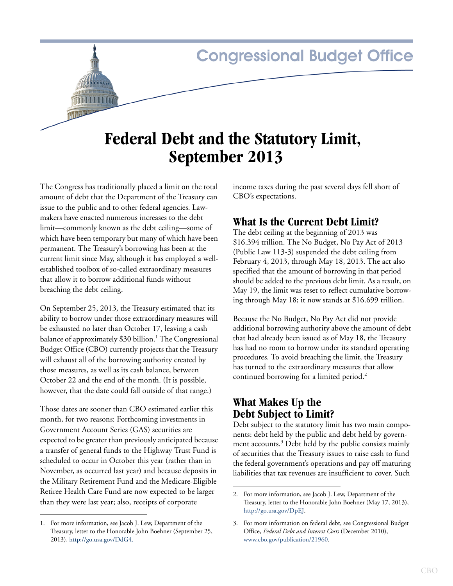# **Congressional Budget Office**

# **Federal Debt and the Statutory Limit, September 2013**

The Congress has traditionally placed a limit on the total amount of debt that the Department of the Treasury can issue to the public and to other federal agencies. Lawmakers have enacted numerous increases to the debt limit—commonly known as the debt ceiling—some of which have been temporary but many of which have been permanent. The Treasury's borrowing has been at the current limit since May, although it has employed a wellestablished toolbox of so-called extraordinary measures that allow it to borrow additional funds without breaching the debt ceiling.

On September 25, 2013, the Treasury estimated that its ability to borrow under those extraordinary measures will be exhausted no later than October 17, leaving a cash balance of approximately \$30 billion.<sup>1</sup> The Congressional Budget Office (CBO) currently projects that the Treasury will exhaust all of the borrowing authority created by those measures, as well as its cash balance, between October 22 and the end of the month. (It is possible, however, that the date could fall outside of that range.)

Those dates are sooner than CBO estimated earlier this month, for two reasons: Forthcoming investments in Government Account Series (GAS) securities are expected to be greater than previously anticipated because a transfer of general funds to the Highway Trust Fund is scheduled to occur in October this year (rather than in November, as occurred last year) and because deposits in the Military Retirement Fund and the Medicare-Eligible Retiree Health Care Fund are now expected to be larger than they were last year; also, receipts of corporate

income taxes during the past several days fell short of CBO's expectations.

## **What Is the Current Debt Limit?**

The debt ceiling at the beginning of 2013 was \$16.394 trillion. The No Budget, No Pay Act of 2013 (Public Law 113-3) suspended the debt ceiling from February 4, 2013, through May 18, 2013. The act also specified that the amount of borrowing in that period should be added to the previous debt limit. As a result, on May 19, the limit was reset to reflect cumulative borrowing through May 18; it now stands at \$16.699 trillion.

Because the No Budget, No Pay Act did not provide additional borrowing authority above the amount of debt that had already been issued as of May 18, the Treasury has had no room to borrow under its standard operating procedures. To avoid breaching the limit, the Treasury has turned to the extraordinary measures that allow continued borrowing for a limited period.<sup>2</sup>

# **What Makes Up the Debt Subject to Limit?**

Debt subject to the statutory limit has two main components: debt held by the public and debt held by government accounts.<sup>3</sup> Debt held by the public consists mainly of securities that the Treasury issues to raise cash to fund the federal government's operations and pay off maturing liabilities that tax revenues are insufficient to cover. Such

<sup>1.</sup> For more information, see Jacob J. Lew, Department of the Treasury, letter to the Honorable John Boehner (September 25, 2013), [http://go.usa.gov/DdG4.](http://go.usa.gov/DdG4)

<sup>2.</sup> For more information, see Jacob J. Lew, Department of the Treasury, letter to the Honorable John Boehner (May 17, 2013), [http://go.usa.gov/DpEJ.](http://go.usa.gov/DpEJ)

<sup>3.</sup> For more information on federal debt, see Congressional Budget Office, *Federal Debt and Interest Costs* (December 2010), [www.cbo.gov/publication/21960](http://www.cbo.gov/publication/21960).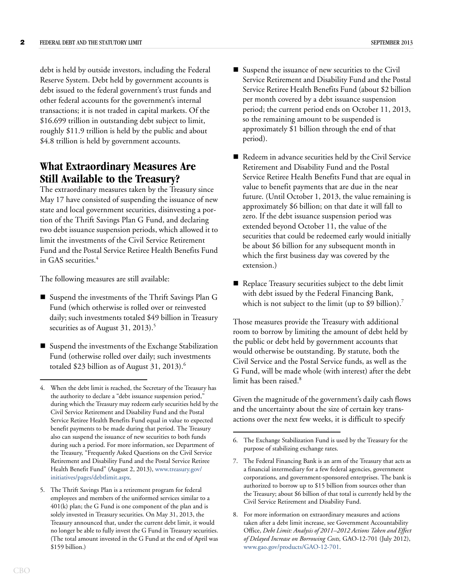debt is held by outside investors, including the Federal Reserve System. Debt held by government accounts is debt issued to the federal government's trust funds and other federal accounts for the government's internal transactions; it is not traded in capital markets. Of the \$16.699 trillion in outstanding debt subject to limit, roughly \$11.9 trillion is held by the public and about \$4.8 trillion is held by government accounts.

## **What Extraordinary Measures Are Still Available to the Treasury?**

The extraordinary measures taken by the Treasury since May 17 have consisted of suspending the issuance of new state and local government securities, disinvesting a portion of the Thrift Savings Plan G Fund, and declaring two debt issuance suspension periods, which allowed it to limit the investments of the Civil Service Retirement Fund and the Postal Service Retiree Health Benefits Fund in GAS securities.<sup>4</sup>

The following measures are still available:

- Suspend the investments of the Thrift Savings Plan G Fund (which otherwise is rolled over or reinvested daily; such investments totaled \$49 billion in Treasury securities as of August 31, 2013).<sup>5</sup>
- Suspend the investments of the Exchange Stabilization Fund (otherwise rolled over daily; such investments totaled \$23 billion as of August  $31, 2013$ .<sup>6</sup>
- Service Retiree Health Benefits Fund (about \$2 billion per month covered by a debt issuance suspension period; the current period ends on October 11, 2013, so the remaining amount to be suspended is approximately \$1 billion through the end of that period).
- Redeem in advance securities held by the Civil Service Retirement and Disability Fund and the Postal Service Retiree Health Benefits Fund that are equal in value to benefit payments that are due in the near future. (Until October 1, 2013, the value remaining is approximately \$6 billion; on that date it will fall to zero. If the debt issuance suspension period was extended beyond October 11, the value of the securities that could be redeemed early would initially be about \$6 billion for any subsequent month in which the first business day was covered by the extension.)
- Replace Treasury securities subject to the debt limit with debt issued by the Federal Financing Bank, which is not subject to the limit (up to \$9 billion).<sup>7</sup>

Those measures provide the Treasury with additional room to borrow by limiting the amount of debt held by the public or debt held by government accounts that would otherwise be outstanding. By statute, both the Civil Service and the Postal Service funds, as well as the G Fund, will be made whole (with interest) after the debt limit has been raised.<sup>8</sup>

Given the magnitude of the government's daily cash flows and the uncertainty about the size of certain key transactions over the next few weeks, it is difficult to specify

<sup>4.</sup> When the debt limit is reached, the Secretary of the Treasury has the authority to declare a "debt issuance suspension period," during which the Treasury may redeem early securities held by the Civil Service Retirement and Disability Fund and the Postal Service Retiree Health Benefits Fund equal in value to expected benefit payments to be made during that period. The Treasury also can suspend the issuance of new securities to both funds during such a period. For more information, see Department of the Treasury, "Frequently Asked Questions on the Civil Service Retirement and Disability Fund and the Postal Service Retiree Health Benefit Fund" (August 2, 2013), [www.treasury.gov/](http://www.treasury.gov/initiatives/pages/debtlimit.aspx) [initiatives/pages/debtlimit.aspx.](http://www.treasury.gov/initiatives/pages/debtlimit.aspx)

<sup>5.</sup> The Thrift Savings Plan is a retirement program for federal employees and members of the uniformed services similar to a 401(k) plan; the G Fund is one component of the plan and is solely invested in Treasury securities. On May 31, 2013, the Treasury announced that, under the current debt limit, it would no longer be able to fully invest the G Fund in Treasury securities. (The total amount invested in the G Fund at the end of April was \$159 billion.)

<sup>6.</sup> The Exchange Stabilization Fund is used by the Treasury for the purpose of stabilizing exchange rates.

<sup>7.</sup> The Federal Financing Bank is an arm of the Treasury that acts as a financial intermediary for a few federal agencies, government corporations, and government-sponsored enterprises. The bank is authorized to borrow up to \$15 billion from sources other than the Treasury; about \$6 billion of that total is currently held by the Civil Service Retirement and Disability Fund.

<sup>8.</sup> For more information on extraordinary measures and actions taken after a debt limit increase, see Government Accountability Office, *Debt Limit: Analysis of 2011–2012 Actions Taken and Effect of Delayed Increase on Borrowing Costs,* GAO-12-701 (July 2012), [www.gao.gov/products/GAO-12-701.](http://www.gao.gov/products/GAO-12-701)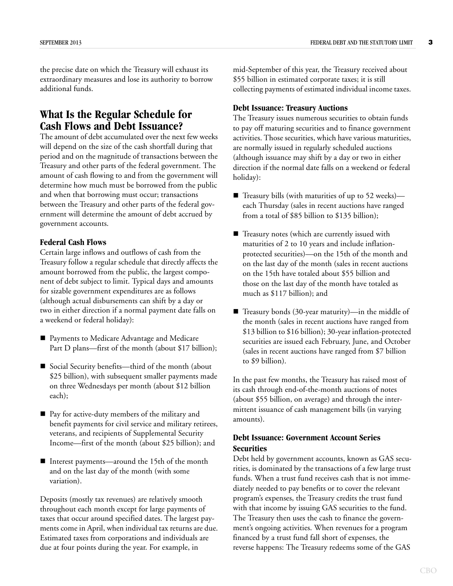the precise date on which the Treasury will exhaust its extraordinary measures and lose its authority to borrow additional funds.

## **What Is the Regular Schedule for Cash Flows and Debt Issuance?**

The amount of debt accumulated over the next few weeks will depend on the size of the cash shortfall during that period and on the magnitude of transactions between the Treasury and other parts of the federal government. The amount of cash flowing to and from the government will determine how much must be borrowed from the public and when that borrowing must occur; transactions between the Treasury and other parts of the federal government will determine the amount of debt accrued by government accounts.

### **Federal Cash Flows**

Certain large inflows and outflows of cash from the Treasury follow a regular schedule that directly affects the amount borrowed from the public, the largest component of debt subject to limit. Typical days and amounts for sizable government expenditures are as follows (although actual disbursements can shift by a day or two in either direction if a normal payment date falls on a weekend or federal holiday):

- **Payments to Medicare Advantage and Medicare** Part D plans—first of the month (about \$17 billion);
- Social Security benefits—third of the month (about \$25 billion), with subsequent smaller payments made on three Wednesdays per month (about \$12 billion each);
- Pay for active-duty members of the military and benefit payments for civil service and military retirees, veterans, and recipients of Supplemental Security Income—first of the month (about \$25 billion); and
- Interest payments—around the 15th of the month and on the last day of the month (with some variation).

Deposits (mostly tax revenues) are relatively smooth throughout each month except for large payments of taxes that occur around specified dates. The largest payments come in April, when individual tax returns are due. Estimated taxes from corporations and individuals are due at four points during the year. For example, in

mid-September of this year, the Treasury received about \$55 billion in estimated corporate taxes; it is still collecting payments of estimated individual income taxes.

### **Debt Issuance: Treasury Auctions**

The Treasury issues numerous securities to obtain funds to pay off maturing securities and to finance government activities. Those securities, which have various maturities, are normally issued in regularly scheduled auctions (although issuance may shift by a day or two in either direction if the normal date falls on a weekend or federal holiday):

- $\blacksquare$  Treasury bills (with maturities of up to 52 weeks) each Thursday (sales in recent auctions have ranged from a total of \$85 billion to \$135 billion);
- Treasury notes (which are currently issued with maturities of 2 to 10 years and include inflationprotected securities)—on the 15th of the month and on the last day of the month (sales in recent auctions on the 15th have totaled about \$55 billion and those on the last day of the month have totaled as much as \$117 billion); and
- $\blacksquare$  Treasury bonds (30-year maturity)—in the middle of the month (sales in recent auctions have ranged from \$13 billion to \$16 billion); 30-year inflation-protected securities are issued each February, June, and October (sales in recent auctions have ranged from \$7 billion to \$9 billion).

In the past few months, the Treasury has raised most of its cash through end-of-the-month auctions of notes (about \$55 billion, on average) and through the intermittent issuance of cash management bills (in varying amounts).

## **Debt Issuance: Government Account Series Securities**

Debt held by government accounts, known as GAS securities, is dominated by the transactions of a few large trust funds. When a trust fund receives cash that is not immediately needed to pay benefits or to cover the relevant program's expenses, the Treasury credits the trust fund with that income by issuing GAS securities to the fund. The Treasury then uses the cash to finance the government's ongoing activities. When revenues for a program financed by a trust fund fall short of expenses, the reverse happens: The Treasury redeems some of the GAS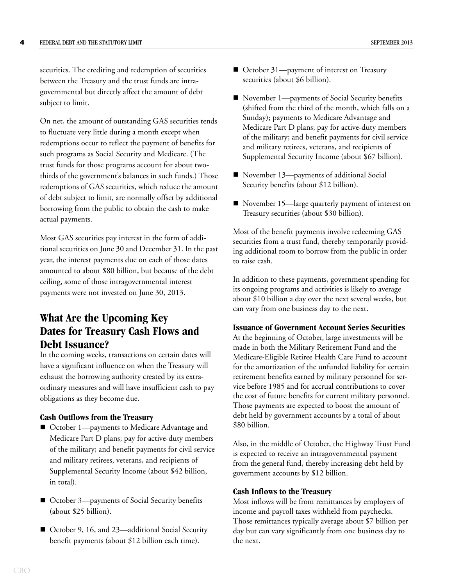securities. The crediting and redemption of securities between the Treasury and the trust funds are intragovernmental but directly affect the amount of debt subject to limit.

On net, the amount of outstanding GAS securities tends to fluctuate very little during a month except when redemptions occur to reflect the payment of benefits for such programs as Social Security and Medicare. (The trust funds for those programs account for about twothirds of the government's balances in such funds.) Those redemptions of GAS securities, which reduce the amount of debt subject to limit, are normally offset by additional borrowing from the public to obtain the cash to make actual payments.

Most GAS securities pay interest in the form of additional securities on June 30 and December 31. In the past year, the interest payments due on each of those dates amounted to about \$80 billion, but because of the debt ceiling, some of those intragovernmental interest payments were not invested on June 30, 2013.

# **What Are the Upcoming Key Dates for Treasury Cash Flows and Debt Issuance?**

In the coming weeks, transactions on certain dates will have a significant influence on when the Treasury will exhaust the borrowing authority created by its extraordinary measures and will have insufficient cash to pay obligations as they become due.

#### **Cash Outflows from the Treasury**

- October 1—payments to Medicare Advantage and Medicare Part D plans; pay for active-duty members of the military; and benefit payments for civil service and military retirees, veterans, and recipients of Supplemental Security Income (about \$42 billion, in total).
- October 3—payments of Social Security benefits (about \$25 billion).
- October 9, 16, and 23—additional Social Security benefit payments (about \$12 billion each time).
- October 31—payment of interest on Treasury securities (about \$6 billion).
- November 1—payments of Social Security benefits (shifted from the third of the month, which falls on a Sunday); payments to Medicare Advantage and Medicare Part D plans; pay for active-duty members of the military; and benefit payments for civil service and military retirees, veterans, and recipients of Supplemental Security Income (about \$67 billion).
- November 13—payments of additional Social Security benefits (about \$12 billion).
- November 15—large quarterly payment of interest on Treasury securities (about \$30 billion).

Most of the benefit payments involve redeeming GAS securities from a trust fund, thereby temporarily providing additional room to borrow from the public in order to raise cash.

In addition to these payments, government spending for its ongoing programs and activities is likely to average about \$10 billion a day over the next several weeks, but can vary from one business day to the next.

#### **Issuance of Government Account Series Securities**

At the beginning of October, large investments will be made in both the Military Retirement Fund and the Medicare-Eligible Retiree Health Care Fund to account for the amortization of the unfunded liability for certain retirement benefits earned by military personnel for service before 1985 and for accrual contributions to cover the cost of future benefits for current military personnel. Those payments are expected to boost the amount of debt held by government accounts by a total of about \$80 billion.

Also, in the middle of October, the Highway Trust Fund is expected to receive an intragovernmental payment from the general fund, thereby increasing debt held by government accounts by \$12 billion.

#### **Cash Inflows to the Treasury**

Most inflows will be from remittances by employers of income and payroll taxes withheld from paychecks. Those remittances typically average about \$7 billion per day but can vary significantly from one business day to the next.